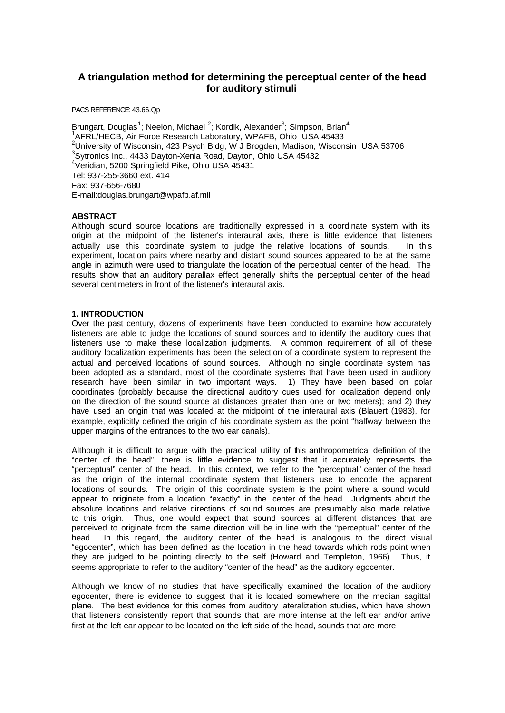# **A triangulation method for determining the perceptual center of the head for auditory stimuli**

PACS REFERENCE: 43.66.Qp

Brungart, Douglas<sup>1</sup>; Neelon, Michael <sup>2</sup>; Kordik, Alexander<sup>3</sup>; Simpson, Brian<sup>4</sup> 1 AFRL/HECB, Air Force Research Laboratory, WPAFB, Ohio USA 45433 <sup>2</sup>University of Wisconsin, 423 Psych Bldg, W J Brogden, Madison, Wisconsin USA 53706 3 Sytronics Inc., 4433 Dayton-Xenia Road, Dayton, Ohio USA 45432 4 Veridian, 5200 Springfield Pike, Ohio USA 45431 Tel: 937-255-3660 ext. 414 Fax: 937-656-7680 E-mail:douglas.brungart@wpafb.af.mil

# **ABSTRACT**

Although sound source locations are traditionally expressed in a coordinate system with its origin at the midpoint of the listener's interaural axis, there is little evidence that listeners actually use this coordinate system to judge the relative locations of sounds. In this experiment, location pairs where nearby and distant sound sources appeared to be at the same angle in azimuth were used to triangulate the location of the perceptual center of the head. The results show that an auditory parallax effect generally shifts the perceptual center of the head several centimeters in front of the listener's interaural axis.

# **1. INTRODUCTION**

Over the past century, dozens of experiments have been conducted to examine how accurately listeners are able to judge the locations of sound sources and to identify the auditory cues that listeners use to make these localization judgments. A common requirement of all of these auditory localization experiments has been the selection of a coordinate system to represent the actual and perceived locations of sound sources. Although no single coordinate system has been adopted as a standard, most of the coordinate systems that have been used in auditory research have been similar in two important ways. 1) They have been based on polar coordinates (probably because the directional auditory cues used for localization depend only on the direction of the sound source at distances greater than one or two meters); and 2) they have used an origin that was located at the midpoint of the interaural axis (Blauert (1983), for example, explicitly defined the origin of his coordinate system as the point "halfway between the upper margins of the entrances to the two ear canals).

Although it is difficult to argue with the practical utility of this anthropometrical definition of the "center of the head", there is little evidence to suggest that it accurately represents the "perceptual" center of the head. In this context, we refer to the "perceptual" center of the head as the origin of the internal coordinate system that listeners use to encode the apparent locations of sounds. The origin of this coordinate system is the point where a sound would appear to originate from a location "exactly" in the center of the head. Judgments about the absolute locations and relative directions of sound sources are presumably also made relative to this origin. Thus, one would expect that sound sources at different distances that are perceived to originate from the same direction will be in line with the "perceptual" center of the head. In this regard, the auditory center of the head is analogous to the direct visual "egocenter", which has been defined as the location in the head towards which rods point when they are judged to be pointing directly to the self (Howard and Templeton, 1966). Thus, it seems appropriate to refer to the auditory "center of the head" as the auditory egocenter.

Although we know of no studies that have specifically examined the location of the auditory egocenter, there is evidence to suggest that it is located somewhere on the median sagittal plane. The best evidence for this comes from auditory lateralization studies, which have shown that listeners consistently report that sounds that are more intense at the left ear and/or arrive first at the left ear appear to be located on the left side of the head, sounds that are more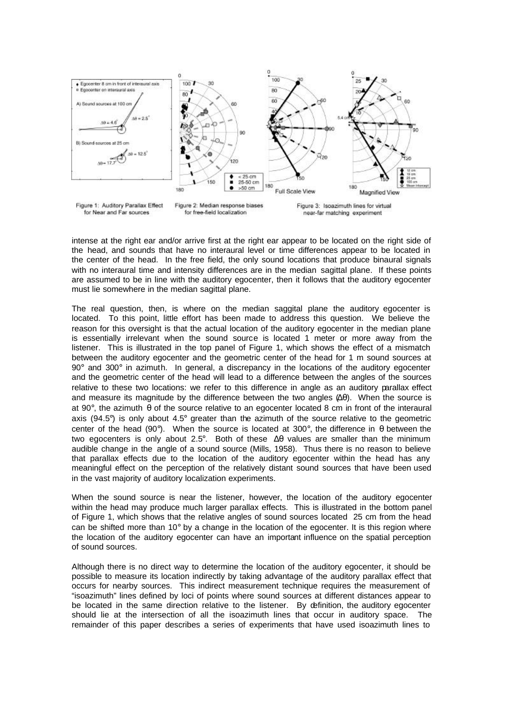

intense at the right ear and/or arrive first at the right ear appear to be located on the right side of the head, and sounds that have no interaural level or time differences appear to be located in the center of the head. In the free field, the only sound locations that produce binaural signals with no interaural time and intensity differences are in the median sagittal plane. If these points are assumed to be in line with the auditory egocenter, then it follows that the auditory egocenter must lie somewhere in the median sagittal plane.

The real question, then, is where on the median saggital plane the auditory egocenter is located. To this point, little effort has been made to address this question. We believe the reason for this oversight is that the actual location of the auditory egocenter in the median plane is essentially irrelevant when the sound source is located 1 meter or more away from the listener. This is illustrated in the top panel of Figure 1, which shows the effect of a mismatch between the auditory egocenter and the geometric center of the head for 1 m sound sources at  $90^\circ$  and  $300^\circ$  in azimuth. In general, a discrepancy in the locations of the auditory egocenter and the geometric center of the head will lead to a difference between the angles of the sources relative to these two locations: we refer to this difference in angle as an auditory parallax effect and measure its magnitude by the difference between the two angles  $(\Delta \theta)$ . When the source is at 90°, the azimuth θ of the source relative to an egocenter located 8 cm in front of the interaural axis (94.5°) is only about 4.5° greater than the azimuth of the source relative to the geometric center of the head (90°). When the source is located at 300°, the difference in  $\theta$  between the two egocenters is only about 2.5°. Both of these Δθ values are smaller than the minimum audible change in the angle of a sound source (Mills, 1958). Thus there is no reason to believe that parallax effects due to the location of the auditory egocenter within the head has any meaningful effect on the perception of the relatively distant sound sources that have been used in the vast majority of auditory localization experiments.

When the sound source is near the listener, however, the location of the auditory egocenter within the head may produce much larger parallax effects. This is illustrated in the bottom panel of Figure 1, which shows that the relative angles of sound sources located 25 cm from the head can be shifted more than  $10^{\circ}$  by a change in the location of the egocenter. It is this region where the location of the auditory egocenter can have an important influence on the spatial perception of sound sources.

Although there is no direct way to determine the location of the auditory egocenter, it should be possible to measure its location indirectly by taking advantage of the auditory parallax effect that occurs for nearby sources. This indirect measurement technique requires the measurement of "isoazimuth" lines defined by loci of points where sound sources at different distances appear to be located in the same direction relative to the listener. By definition, the auditory egocenter should lie at the intersection of all the isoazimuth lines that occur in auditory space. The remainder of this paper describes a series of experiments that have used isoazimuth lines to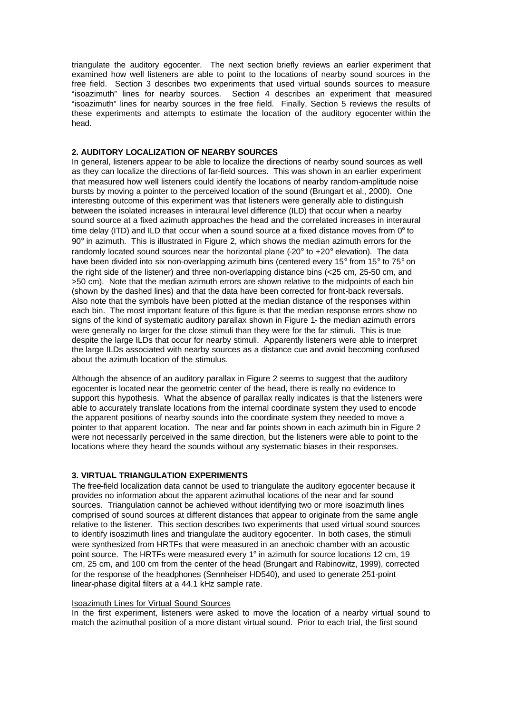triangulate the auditory egocenter. The next section briefly reviews an earlier experiment that examined how well listeners are able to point to the locations of nearby sound sources in the free field. Section 3 describes two experiments that used virtual sounds sources to measure "isoazimuth" lines for nearby sources. Section 4 describes an experiment that measured "isoazimuth" lines for nearby sources in the free field. Finally, Section 5 reviews the results of these experiments and attempts to estimate the location of the auditory egocenter within the head.

# **2. AUDITORY LOCALIZATION OF NEARBY SOURCES**

In general, listeners appear to be able to localize the directions of nearby sound sources as well as they can localize the directions of far-field sources. This was shown in an earlier experiment that measured how well listeners could identify the locations of nearby random-amplitude noise bursts by moving a pointer to the perceived location of the sound (Brungart et al., 2000). One interesting outcome of this experiment was that listeners were generally able to distinguish between the isolated increases in interaural level difference (ILD) that occur when a nearby sound source at a fixed azimuth approaches the head and the correlated increases in interaural time delay (ITD) and ILD that occur when a sound source at a fixed distance moves from  $0^{\circ}$  to  $90^\circ$  in azimuth. This is illustrated in Figure 2, which shows the median azimuth errors for the randomly located sound sources near the horizontal plane  $(-20^\circ$  to  $+20^\circ$  elevation). The data have been divided into six non-overlapping azimuth bins (centered every 15° from 15° to 75° on the right side of the listener) and three non-overlapping distance bins (<25 cm, 25-50 cm, and >50 cm). Note that the median azimuth errors are shown relative to the midpoints of each bin (shown by the dashed lines) and that the data have been corrected for front-back reversals. Also note that the symbols have been plotted at the median distance of the responses within each bin. The most important feature of this figure is that the median response errors show no signs of the kind of systematic auditory parallax shown in Figure 1- the median azimuth errors were generally no larger for the close stimuli than they were for the far stimuli. This is true despite the large ILDs that occur for nearby stimuli. Apparently listeners were able to interpret the large ILDs associated with nearby sources as a distance cue and avoid becoming confused about the azimuth location of the stimulus.

Although the absence of an auditory parallax in Figure 2 seems to suggest that the auditory egocenter is located near the geometric center of the head, there is really no evidence to support this hypothesis. What the absence of parallax really indicates is that the listeners were able to accurately translate locations from the internal coordinate system they used to encode the apparent positions of nearby sounds into the coordinate system they needed to move a pointer to that apparent location. The near and far points shown in each azimuth bin in Figure 2 were not necessarily perceived in the same direction, but the listeners were able to point to the locations where they heard the sounds without any systematic biases in their responses.

# **3. VIRTUAL TRIANGULATION EXPERIMENTS**

The free-field localization data cannot be used to triangulate the auditory egocenter because it provides no information about the apparent azimuthal locations of the near and far sound sources. Triangulation cannot be achieved without identifying two or more isoazimuth lines comprised of sound sources at different distances that appear to originate from the same angle relative to the listener. This section describes two experiments that used virtual sound sources to identify isoazimuth lines and triangulate the auditory egocenter. In both cases, the stimuli were synthesized from HRTFs that were measured in an anechoic chamber with an acoustic point source. The HRTFs were measured every 1° in azimuth for source locations 12 cm, 19 cm, 25 cm, and 100 cm from the center of the head (Brungart and Rabinowitz, 1999), corrected for the response of the headphones (Sennheiser HD540), and used to generate 251-point linear-phase digital filters at a 44.1 kHz sample rate.

### Isoazimuth Lines for Virtual Sound Sources

In the first experiment, listeners were asked to move the location of a nearby virtual sound to match the azimuthal position of a more distant virtual sound. Prior to each trial, the first sound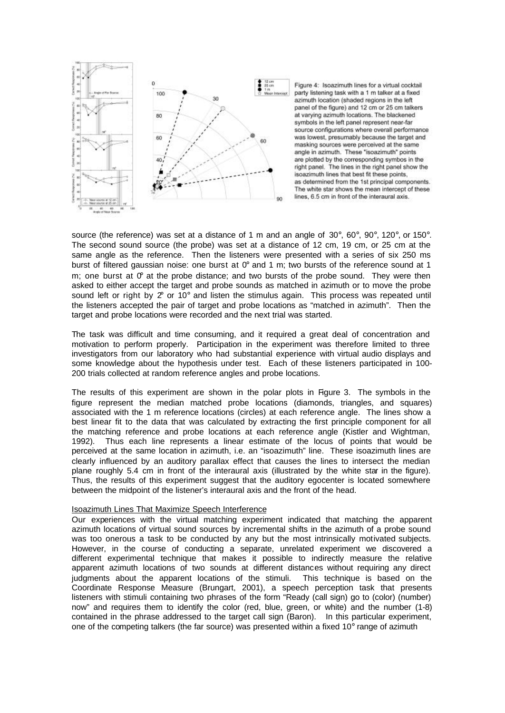

Figure 4: Isoazimuth lines for a virtual cocktail party listening task with a 1 m talker at a fixed azimuth location (shaded regions in the left panel of the figure) and 12 cm or 25 cm talkers at varving azimuth locations. The blackened symbols in the left panel represent near-far source configurations where overall performance was lowest, presumably because the target and masking sources were perceived at the same angle in azimuth. These "isoazimuth" points are plotted by the corresponding symbos in the right panel. The lines in the right panel show the isoazimuth lines that best fit these points. as determined from the 1st principal components. The white star shows the mean intercept of these lines, 6.5 cm in front of the interaural axis.

source (the reference) was set at a distance of 1 m and an angle of 30°, 60°, 90°, 120°, or 150°. The second sound source (the probe) was set at a distance of 12 cm, 19 cm, or 25 cm at the same angle as the reference. Then the listeners were presented with a series of six 250 ms burst of filtered gaussian noise: one burst at  $0^{\circ}$  and 1 m; two bursts of the reference sound at 1 m; one burst at  $\sigma$  at the probe distance; and two bursts of the probe sound. They were then asked to either accept the target and probe sounds as matched in azimuth or to move the probe sound left or right by 2° or 10° and listen the stimulus again. This process was repeated until the listeners accepted the pair of target and probe locations as "matched in azimuth". Then the target and probe locations were recorded and the next trial was started.

The task was difficult and time consuming, and it required a great deal of concentration and motivation to perform properly. Participation in the experiment was therefore limited to three investigators from our laboratory who had substantial experience with virtual audio displays and some knowledge about the hypothesis under test. Each of these listeners participated in 100- 200 trials collected at random reference angles and probe locations.

The results of this experiment are shown in the polar plots in Figure 3. The symbols in the figure represent the median matched probe locations (diamonds, triangles, and squares) associated with the 1 m reference locations (circles) at each reference angle. The lines show a best linear fit to the data that was calculated by extracting the first principle component for all the matching reference and probe locations at each reference angle (Kistler and Wightman, 1992). Thus each line represents a linear estimate of the locus of points that would be perceived at the same location in azimuth, i.e. an "isoazimuth" line. These isoazimuth lines are clearly influenced by an auditory parallax effect that causes the lines to intersect the median plane roughly 5.4 cm in front of the interaural axis (illustrated by the white star in the figure). Thus, the results of this experiment suggest that the auditory egocenter is located somewhere between the midpoint of the listener's interaural axis and the front of the head.

### Isoazimuth Lines That Maximize Speech Interference

Our experiences with the virtual matching experiment indicated that matching the apparent azimuth locations of virtual sound sources by incremental shifts in the azimuth of a probe sound was too onerous a task to be conducted by any but the most intrinsically motivated subjects. However, in the course of conducting a separate, unrelated experiment we discovered a different experimental technique that makes it possible to indirectly measure the relative apparent azimuth locations of two sounds at different distances without requiring any direct judgments about the apparent locations of the stimuli. This technique is based on the Coordinate Response Measure (Brungart, 2001), a speech perception task that presents listeners with stimuli containing two phrases of the form "Ready (call sign) go to (color) (number) now" and requires them to identify the color (red, blue, green, or white) and the number (1-8) contained in the phrase addressed to the target call sign (Baron). In this particular experiment, one of the competing talkers (the far source) was presented within a fixed  $10^{\circ}$  range of azimuth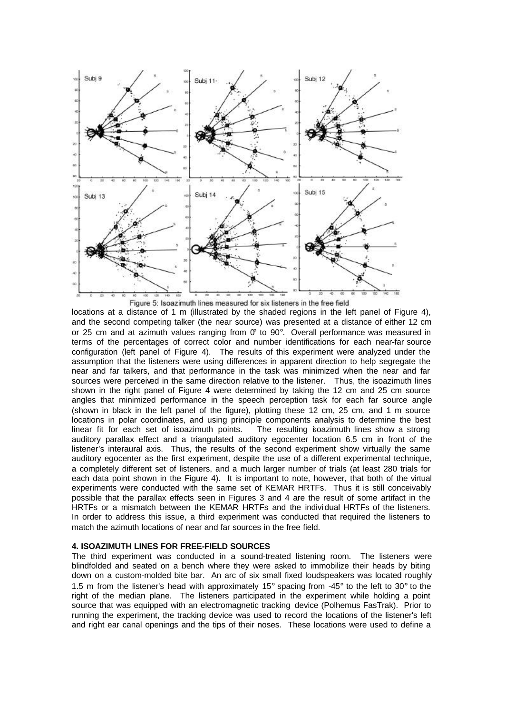

Figure 5: Isoazimuth lines measured for six listeners in the free field

locations at a distance of 1 m (illustrated by the shaded regions in the left panel of Figure 4), and the second competing talker (the near source) was presented at a distance of either 12 cm or 25 cm and at azimuth values ranging from  $\sigma$  to 90°. Overall performance was measured in terms of the percentages of correct color and number identifications for each near-far source configuration (left panel of Figure 4). The results of this experiment were analyzed under the assumption that the listeners were using differences in apparent direction to help segregate the near and far talkers, and that performance in the task was minimized when the near and far sources were perceived in the same direction relative to the listener. Thus, the isoazimuth lines shown in the right panel of Figure 4 were determined by taking the 12 cm and 25 cm source angles that minimized performance in the speech perception task for each far source angle (shown in black in the left panel of the figure), plotting these 12 cm, 25 cm, and 1 m source locations in polar coordinates, and using principle components analysis to determine the best linear fit for each set of isoazimuth points. The resulting isoazimuth lines show a strong auditory parallax effect and a triangulated auditory egocenter location 6.5 cm in front of the listener's interaural axis. Thus, the results of the second experiment show virtually the same auditory egocenter as the first experiment, despite the use of a different experimental technique, a completely different set of listeners, and a much larger number of trials (at least 280 trials for each data point shown in the Figure 4). It is important to note, however, that both of the virtual experiments were conducted with the same set of KEMAR HRTFs. Thus it is still conceivably possible that the parallax effects seen in Figures 3 and 4 are the result of some artifact in the HRTFs or a mismatch between the KEMAR HRTFs and the indivi dual HRTFs of the listeners. In order to address this issue, a third experiment was conducted that required the listeners to match the azimuth locations of near and far sources in the free field.

# **4. ISOAZIMUTH LINES FOR FREE-FIELD SOURCES**

The third experiment was conducted in a sound-treated listening room. The listeners were blindfolded and seated on a bench where they were asked to immobilize their heads by biting down on a custom-molded bite bar. An arc of six small fixed loudspeakers was located roughly 1.5 m from the listener's head with approximately 15° spacing from -45° to the left to 30° to the right of the median plane. The listeners participated in the experiment while holding a point source that was equipped with an electromagnetic tracking device (Polhemus FasTrak). Prior to running the experiment, the tracking device was used to record the locations of the listener's left and right ear canal openings and the tips of their noses. These locations were used to define a